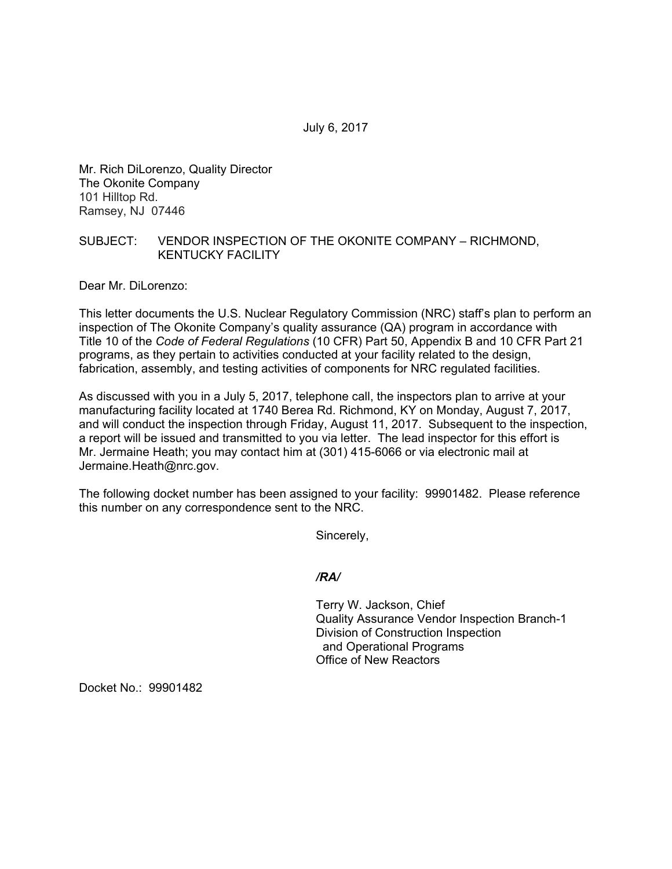Mr. Rich DiLorenzo, Quality Director The Okonite Company 101 Hilltop Rd. Ramsey, NJ 07446

## SUBJECT: VENDOR INSPECTION OF THE OKONITE COMPANY – RICHMOND, KENTUCKY FACILITY

Dear Mr. DiLorenzo:

This letter documents the U.S. Nuclear Regulatory Commission (NRC) staff's plan to perform an inspection of The Okonite Company's quality assurance (QA) program in accordance with Title 10 of the *Code of Federal Regulations* (10 CFR) Part 50, Appendix B and 10 CFR Part 21 programs, as they pertain to activities conducted at your facility related to the design, fabrication, assembly, and testing activities of components for NRC regulated facilities.

As discussed with you in a July 5, 2017, telephone call, the inspectors plan to arrive at your manufacturing facility located at 1740 Berea Rd. Richmond, KY on Monday, August 7, 2017, and will conduct the inspection through Friday, August 11, 2017. Subsequent to the inspection, a report will be issued and transmitted to you via letter. The lead inspector for this effort is Mr. Jermaine Heath; you may contact him at (301) 415-6066 or via electronic mail at Jermaine.Heath@nrc.gov.

The following docket number has been assigned to your facility: 99901482. Please reference this number on any correspondence sent to the NRC.

Sincerely,

## */RA/*

Terry W. Jackson, Chief Quality Assurance Vendor Inspection Branch-1 Division of Construction Inspection and Operational Programs Office of New Reactors

Docket No.: 99901482